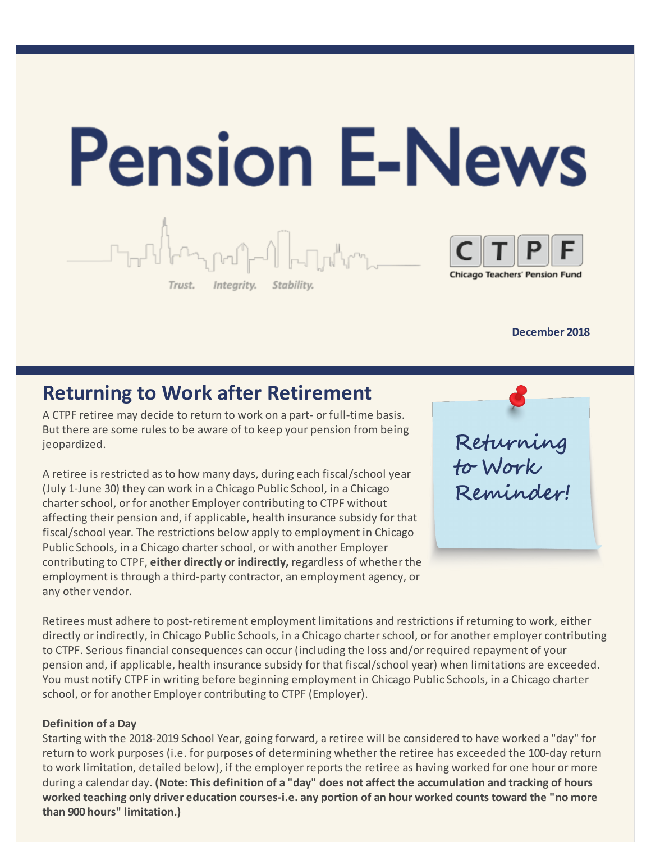

**December 2018** 

### **Returning to Work after Retirement**

A CTPF retiree may decide to return to work on a part- or full-time basis. But there are some rules to be aware of to keep your pension from being jeopardized.

A retiree is restricted as to how many days, during each fiscal/school year (July 1-June 30) they can work in a Chicago Public School, in a Chicago charter school, or for another Employer contributing to CTPF without affecting their pension and, if applicable, health insurance subsidy for that fiscal/school year. The restrictions below apply to employment in Chicago Public Schools, in a Chicago charter school, or with another Employer contributing to CTPF, **either directly or indirectly,** regardless of whether the employment is through a third-party contractor, an employment agency, or any other vendor.

Returning<br>to Work Reminder!

Retirees must adhere to post-retirement employment limitations and restrictions if returning to work, either directly or indirectly, in Chicago Public Schools, in a Chicago charter school, or for another employer contributing to CTPF. Serious financial consequences can occur (including the loss and/or required repayment of your pension and, if applicable, health insurance subsidy for that fiscal/school year) when limitations are exceeded. You must notify CTPF in writing before beginning employment in Chicago Public Schools, in a Chicago charter school, or for another Employer contributing to CTPF (Employer).

### **Definition of a Day**

Starting with the 2018-2019 School Year, going forward, a retiree will be considered to have worked a "day" for return to work purposes (i.e. for purposes of determining whether the retiree has exceeded the 100-day return to work limitation, detailed below), if the employer reports the retiree as having worked for one hour or more during a calendar day. **(Note: This definition of a "day" does not affect the accumulation and tracking of hours worked teaching only driver education courses-i.e. any portion of an hour worked counts toward the "no more than 900 hours" limitation.)**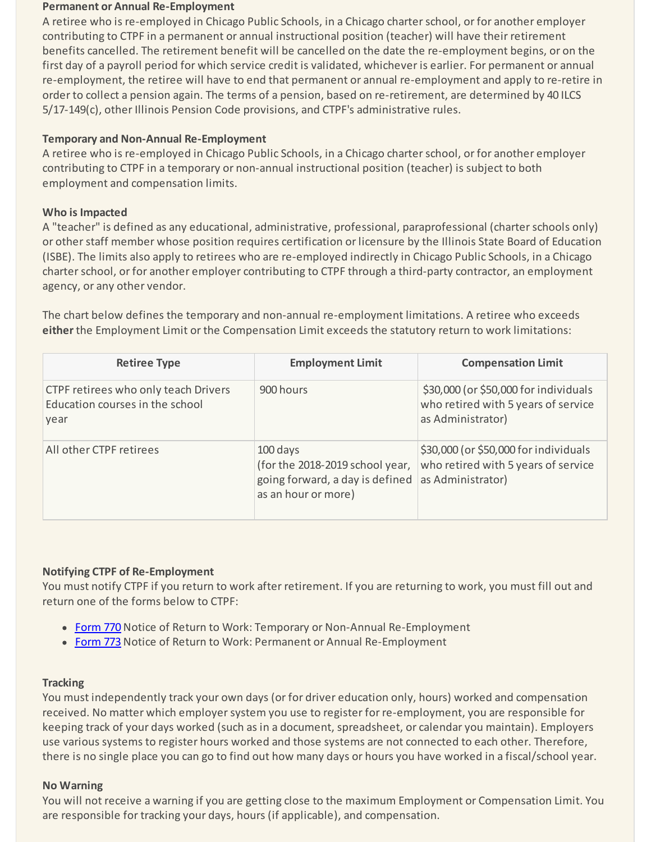#### **Permanent or Annual Re-Employment**

A retiree who is re-employed in Chicago Public Schools, in a Chicago charter school, or for another employer contributing to CTPF in a permanent or annual instructional position (teacher) will have their retirement benefits cancelled. The retirement benefit will be cancelled on the date the re-employment begins, or on the first day of a payroll period for which service credit is validated, whichever is earlier. For permanent or annual re-employment, the retiree will have to end that permanent or annual re-employment and apply to re-retire in order to collect a pension again. The terms of a pension, based on re-retirement, are determined by 40 ILCS 5/17-149(c), other Illinois Pension Code provisions, and CTPF's administrative rules.

#### **Temporary and Non-Annual Re-Employment**

A retiree who is re-employed in Chicago Public Schools, in a Chicago charter school, or for another employer contributing to CTPF in a temporary or non-annual instructional position (teacher) is subject to both employment and compensation limits.

#### **Who is Impacted**

A "teacher" is defined as any educational, administrative, professional, paraprofessional (charter schools only) or other staff member whose position requires certification or licensure by the Illinois State Board of Education (ISBE). The limits also apply to retirees who are re-employed indirectly in Chicago Public Schools, in a Chicago charter school, or for another employer contributing to CTPF through a third-party contractor, an employment agency, or any other vendor.

The chart below defines the temporary and non-annual re-employment limitations. A retiree who exceeds **either** the Employment Limit or the Compensation Limit exceeds the statutory return to work limitations:

| <b>Retiree Type</b>                                                             | <b>Employment Limit</b>                                                                                                 | <b>Compensation Limit</b>                                                                         |
|---------------------------------------------------------------------------------|-------------------------------------------------------------------------------------------------------------------------|---------------------------------------------------------------------------------------------------|
| CTPF retirees who only teach Drivers<br>Education courses in the school<br>year | 900 hours                                                                                                               | \$30,000 (or \$50,000 for individuals<br>who retired with 5 years of service<br>as Administrator) |
| All other CTPF retirees                                                         | 100 days<br>(for the 2018-2019 school year,<br>going forward, a day is defined as Administrator)<br>as an hour or more) | \$30,000 (or \$50,000 for individuals<br>who retired with 5 years of service                      |

#### **Notifying CTPF of Re-Employment**

You must notify CTPF if you return to work after retirement. If you are returning to work, you must fill out and return one of the forms below to CTPF:

- [Form 770](https://www.ctpf.org/sites/main/files/file-attachments/form_770.pdf) Notice of Return to Work: Temporary or Non-Annual Re-Employment
- [Form 773](https://www.ctpf.org/sites/main/files/file-attachments/form_773.pdf) Notice of Return to Work: Permanent or Annual Re-Employment

#### **Tracking**

You must independently track your own days (or for driver education only, hours) worked and compensation received. No matter which employer system you use to register for re-employment, you are responsible for keeping track of your days worked (such as in a document, spreadsheet, or calendar you maintain). Employers use various systems to register hours worked and those systems are not connected to each other. Therefore, there is no single place you can go to find out how many days or hours you have worked in a fiscal/school year.

#### **No Warning**

You will not receive a warning if you are getting close to the maximum Employment or Compensation Limit. You are responsible for tracking your days, hours (if applicable), and compensation.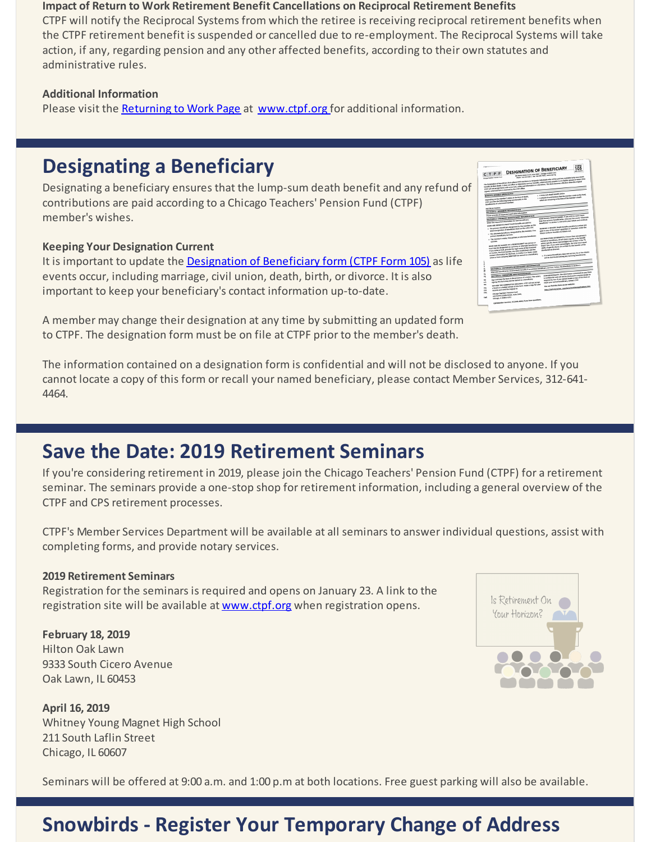#### **Impact of Return to Work Retirement Benefit Cancellations on Reciprocal Retirement Benefits**

CTPF will notify the Reciprocal Systems from which the retiree is receiving reciprocal retirement benefits when the CTPF retirement benefit is suspended or cancelled due to re-employment. The Reciprocal Systems will take action, if any, regarding pension and any other affected benefits, according to their own statutes and administrative rules.

### **Additional Information**

Please visit the [Returning to Work Page](https://www.ctpf.org/returning-work) at [www.ctpf.org](https://www.ctpf.org/) for additional information.

# **Designating a Beneficiary**

Designating a beneficiary ensures that the lump-sum death benefit and any refund of contributions are paid according to a Chicago Teachers' Pension Fund (CTPF) member's wishes.

### **Keeping Your Designation Current**

It is important to update the **Designation of Beneficiary form (CTPF Form 105)** as life events occur, including marriage, civil union, death, birth, or divorce. It is also important to keep your beneficiary's contact information up-to-date.

A member may change their designation at any time by submitting an updated form to CTPF. The designation form must be on file at CTPF prior to the member's death.

The information contained on a designation form is confidential and will not be disclosed to anyone. If you cannot locate a copy of this form or recall your named beneficiary, please contact Member Services, 312-641- 4464.

## **Save the Date: 2019 Retirement Seminars**

If you're considering retirement in 2019, please join the Chicago Teachers' Pension Fund (CTPF) for a retirement seminar. The seminars provide a one-stop shop for retirement information, including a general overview of the CTPF and CPS retirement processes.

CTPF's Member Services Department will be available at all seminars to answer individual questions, assist with completing forms, and provide notary services.

### **2019 Retirement Seminars**

Registration for the seminars is required and opens on January 23. A link to the registration site will be available at [www.ctpf.org](https://www.ctpf.org/retired-members) when registration opens.

**February 18, 2019** Hilton Oak Lawn 9333 South Cicero Avenue Oak Lawn, IL 60453

**April 16, 2019** Whitney Young Magnet High School 211 South Laflin Street Chicago, IL 60607

Seminars will be offered at 9:00 a.m. and 1:00 p.m at both locations. Free guest parking will also be available.

# **Snowbirds - Register Your Temporary Change of Address**



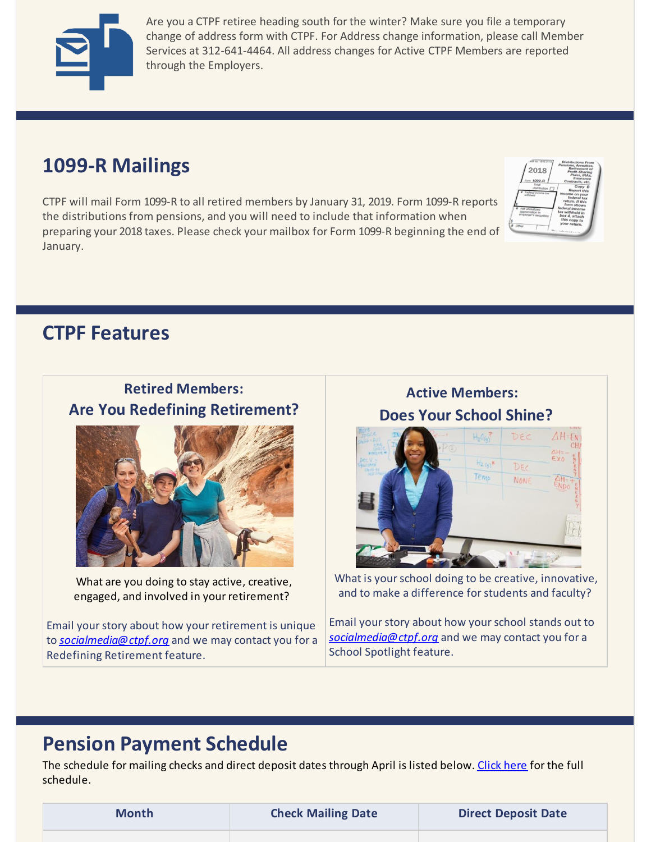

Are you a CTPF retiree heading south for the winter? Make sure you file a temporary change of address form with CTPF. For Address change information, please call Member Services at 312-641-4464. All address changes for Active CTPF Members are reported through the Employers.

# **1099-R Mailings**

CTPF will mail Form 1099-R to all retired members by January 31, 2019. Form 1099-R reports the distributions from pensions, and you will need to include that information when preparing your 2018 taxes. Please check your mailbox for Form 1099-R beginning the end of January.



### **CTPF Features**

### **Retired Members: Are You Redefining Retirement?**



What are you doing to stay active, creative, engaged, and involved in your retirement?

Email your story about how your retirement is unique to *[socialmedia@ctpf.org](mailto:socialmedia@ctpf.org)* and we may contact you for a Redefining Retirement feature.

**Active Members: Does Your School Shine?**



What is your school doing to be creative, innovative, and to make a difference for students and faculty?

Email your story about how your school stands out to *[socialmedia@ctpf.org](mailto:socialmedia@ctpf.org)* and we may contact you for a School Spotlight feature.

# **Pension Payment Schedule**

The schedule for mailing checks and direct deposit dates through April is listed below. [Click here](https://www.ctpf.org/pension-payments) for the full schedule.

| <b>Month</b> | <b>Check Mailing Date</b> | <b>Direct Deposit Date</b> |
|--------------|---------------------------|----------------------------|
|              |                           |                            |